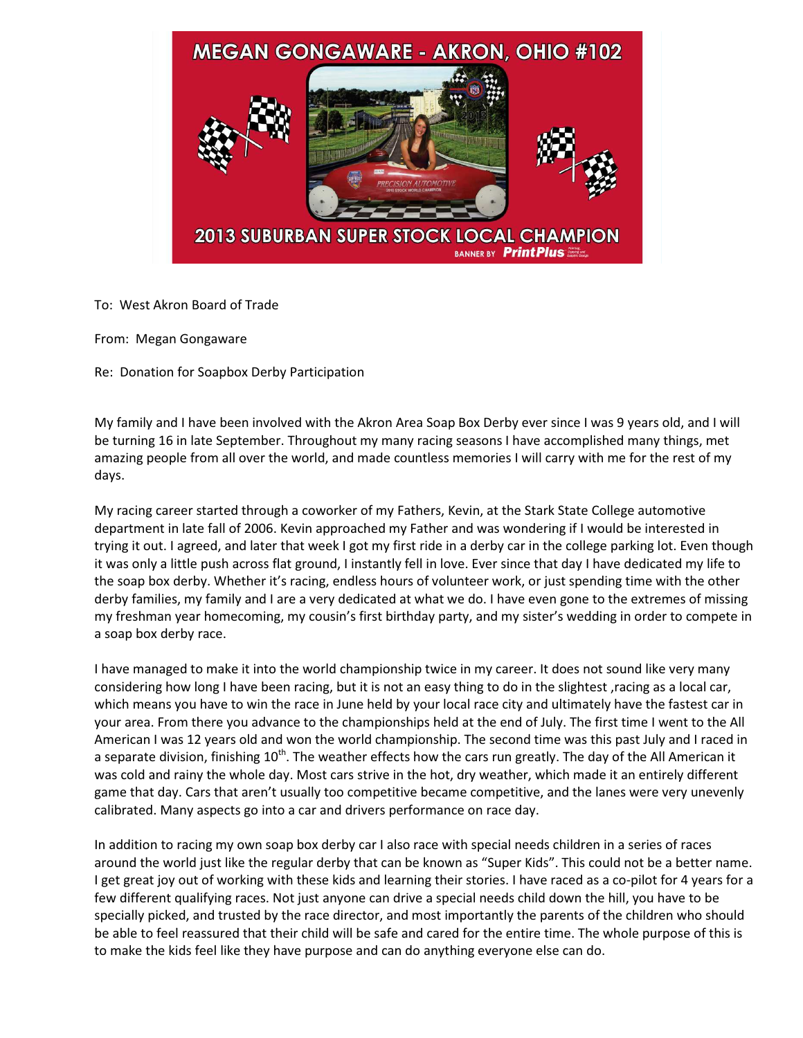

To: West Akron Board of Trade

From: Megan Gongaware

Re: Donation for Soapbox Derby Participation

My family and I have been involved with the Akron Area Soap Box Derby ever since I was 9 years old, and I will be turning 16 in late September. Throughout my many racing seasons I have accomplished many things, met amazing people from all over the world, and made countless memories I will carry with me for the rest of my days.

My racing career started through a coworker of my Fathers, Kevin, at the Stark State College automotive department in late fall of 2006. Kevin approached my Father and was wondering if I would be interested in trying it out. I agreed, and later that week I got my first ride in a derby car in the college parking lot. Even though it was only a little push across flat ground, I instantly fell in love. Ever since that day I have dedicated my life to the soap box derby. Whether it's racing, endless hours of volunteer work, or just spending time with the other derby families, my family and I are a very dedicated at what we do. I have even gone to the extremes of missing my freshman year homecoming, my cousin's first birthday party, and my sister's wedding in order to compete in a soap box derby race.

I have managed to make it into the world championship twice in my career. It does not sound like very many considering how long I have been racing, but it is not an easy thing to do in the slightest ,racing as a local car, which means you have to win the race in June held by your local race city and ultimately have the fastest car in your area. From there you advance to the championships held at the end of July. The first time I went to the All American I was 12 years old and won the world championship. The second time was this past July and I raced in a separate division, finishing 10<sup>th</sup>. The weather effects how the cars run greatly. The day of the All American it was cold and rainy the whole day. Most cars strive in the hot, dry weather, which made it an entirely different game that day. Cars that aren't usually too competitive became competitive, and the lanes were very unevenly calibrated. Many aspects go into a car and drivers performance on race day.

In addition to racing my own soap box derby car I also race with special needs children in a series of races around the world just like the regular derby that can be known as "Super Kids". This could not be a better name. I get great joy out of working with these kids and learning their stories. I have raced as a co-pilot for 4 years for a few different qualifying races. Not just anyone can drive a special needs child down the hill, you have to be specially picked, and trusted by the race director, and most importantly the parents of the children who should be able to feel reassured that their child will be safe and cared for the entire time. The whole purpose of this is to make the kids feel like they have purpose and can do anything everyone else can do.